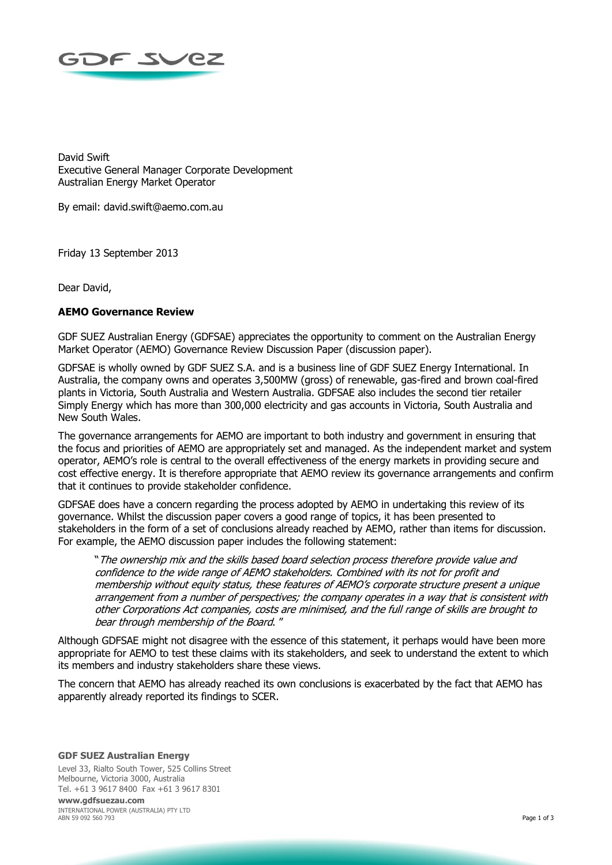

David Swift Executive General Manager Corporate Development Australian Energy Market Operator

By email: david.swift@aemo.com.au

Friday 13 September 2013

Dear David,

## **AEMO Governance Review**

GDF SUEZ Australian Energy (GDFSAE) appreciates the opportunity to comment on the Australian Energy Market Operator (AEMO) Governance Review Discussion Paper (discussion paper).

GDFSAE is wholly owned by GDF SUEZ S.A. and is a business line of GDF SUEZ Energy International. In Australia, the company owns and operates 3,500MW (gross) of renewable, gas-fired and brown coal-fired plants in Victoria, South Australia and Western Australia. GDFSAE also includes the second tier retailer Simply Energy which has more than 300,000 electricity and gas accounts in Victoria, South Australia and New South Wales.

The governance arrangements for AEMO are important to both industry and government in ensuring that the focus and priorities of AEMO are appropriately set and managed. As the independent market and system operator, AEMO's role is central to the overall effectiveness of the energy markets in providing secure and cost effective energy. It is therefore appropriate that AEMO review its governance arrangements and confirm that it continues to provide stakeholder confidence.

GDFSAE does have a concern regarding the process adopted by AEMO in undertaking this review of its governance. Whilst the discussion paper covers a good range of topics, it has been presented to stakeholders in the form of a set of conclusions already reached by AEMO, rather than items for discussion. For example, the AEMO discussion paper includes the following statement:

"The ownership mix and the skills based board selection process therefore provide value and confidence to the wide range of AEMO stakeholders. Combined with its not for profit and membership without equity status, these features of AEMO's corporate structure present a unique arrangement from a number of perspectives; the company operates in a way that is consistent with other Corporations Act companies, costs are minimised, and the full range of skills are brought to bear through membership of the Board. "

Although GDFSAE might not disagree with the essence of this statement, it perhaps would have been more appropriate for AEMO to test these claims with its stakeholders, and seek to understand the extent to which its members and industry stakeholders share these views.

The concern that AEMO has already reached its own conclusions is exacerbated by the fact that AEMO has apparently already reported its findings to SCER.

**GDF SUEZ Australian Energy**  Level 33, Rialto South Tower, 525 Collins Street Melbourne, Victoria 3000, Australia Tel. +61 3 9617 8400 Fax +61 3 9617 8301

**www.gdfsuezau.com**  INTERNATIONAL POWER (AUSTRALIA) PTY LTD ABN 59 092 560 793 Page 1 of 3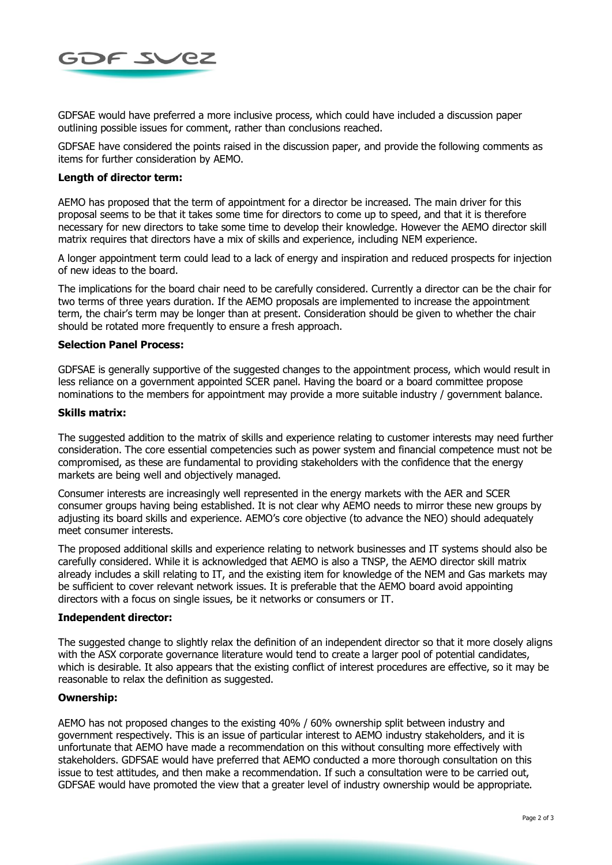

GDFSAE would have preferred a more inclusive process, which could have included a discussion paper outlining possible issues for comment, rather than conclusions reached.

GDFSAE have considered the points raised in the discussion paper, and provide the following comments as items for further consideration by AEMO.

## **Length of director term:**

AEMO has proposed that the term of appointment for a director be increased. The main driver for this proposal seems to be that it takes some time for directors to come up to speed, and that it is therefore necessary for new directors to take some time to develop their knowledge. However the AEMO director skill matrix requires that directors have a mix of skills and experience, including NEM experience.

A longer appointment term could lead to a lack of energy and inspiration and reduced prospects for injection of new ideas to the board.

The implications for the board chair need to be carefully considered. Currently a director can be the chair for two terms of three years duration. If the AEMO proposals are implemented to increase the appointment term, the chair's term may be longer than at present. Consideration should be given to whether the chair should be rotated more frequently to ensure a fresh approach.

### **Selection Panel Process:**

GDFSAE is generally supportive of the suggested changes to the appointment process, which would result in less reliance on a government appointed SCER panel. Having the board or a board committee propose nominations to the members for appointment may provide a more suitable industry / government balance.

#### **Skills matrix:**

The suggested addition to the matrix of skills and experience relating to customer interests may need further consideration. The core essential competencies such as power system and financial competence must not be compromised, as these are fundamental to providing stakeholders with the confidence that the energy markets are being well and objectively managed.

Consumer interests are increasingly well represented in the energy markets with the AER and SCER consumer groups having being established. It is not clear why AEMO needs to mirror these new groups by adjusting its board skills and experience. AEMO's core objective (to advance the NEO) should adequately meet consumer interests.

The proposed additional skills and experience relating to network businesses and IT systems should also be carefully considered. While it is acknowledged that AEMO is also a TNSP, the AEMO director skill matrix already includes a skill relating to IT, and the existing item for knowledge of the NEM and Gas markets may be sufficient to cover relevant network issues. It is preferable that the AEMO board avoid appointing directors with a focus on single issues, be it networks or consumers or IT.

#### **Independent director:**

The suggested change to slightly relax the definition of an independent director so that it more closely aligns with the ASX corporate governance literature would tend to create a larger pool of potential candidates, which is desirable. It also appears that the existing conflict of interest procedures are effective, so it may be reasonable to relax the definition as suggested.

#### **Ownership:**

AEMO has not proposed changes to the existing 40% / 60% ownership split between industry and government respectively. This is an issue of particular interest to AEMO industry stakeholders, and it is unfortunate that AEMO have made a recommendation on this without consulting more effectively with stakeholders. GDFSAE would have preferred that AEMO conducted a more thorough consultation on this issue to test attitudes, and then make a recommendation. If such a consultation were to be carried out, GDFSAE would have promoted the view that a greater level of industry ownership would be appropriate.